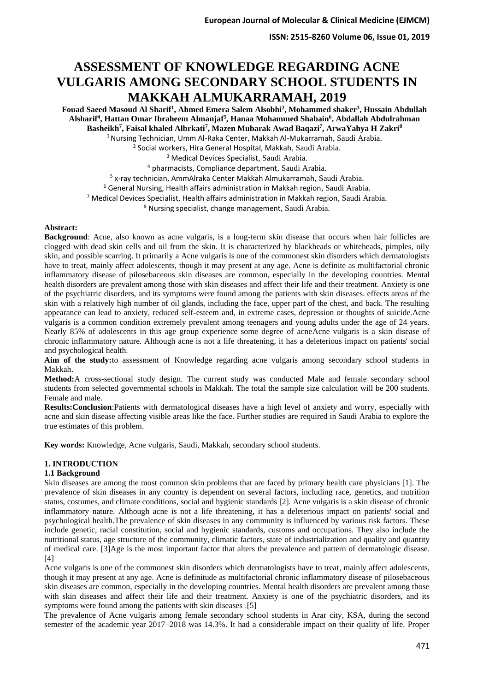# **ASSESSMENT OF KNOWLEDGE REGARDING ACNE VULGARIS AMONG SECONDARY SCHOOL STUDENTS IN MAKKAH ALMUKARRAMAH, 2019**

**Fouad Saeed Masoud Al Sharif<sup>1</sup> , Ahmed Emera Salem Alsobhi<sup>2</sup> , Mohammed shaker<sup>3</sup> , Hussain Abdullah Alsharif<sup>4</sup> , Hattan Omar Ibraheem Almanjaf<sup>5</sup> , Hanaa Mohammed Shabain<sup>6</sup> , Abdallah Abdulrahman Basheikh<sup>7</sup> , Faisal khaled Albrkati<sup>7</sup> , Mazen Mubarak Awad Baqazi<sup>7</sup> , ArwaYahya H Zakri<sup>8</sup>** <sup>1</sup>Nursing Technician, Umm Al-Raka Center, Makkah Al-Mukarramah, Saudi Arabia.

2 Social workers, Hira General Hospital, Makkah, Saudi Arabia.

<sup>3</sup> Medical Devices Specialist, Saudi Arabia.

<sup>4</sup> pharmacists, Compliance department, Saudi Arabia.

<sup>5</sup> x-ray technician, AmmAlraka Center Makkah Almukarramah, Saudi Arabia.

<sup>6</sup> General Nursing, Health affairs administration in Makkah region, Saudi Arabia.

 $7$  Medical Devices Specialist, Health affairs administration in Makkah region, Saudi Arabia.

<sup>8</sup> Nursing specialist, change management, Saudi Arabia.

### **Abstract:**

**Background**: Acne, also known as acne vulgaris, is a long-term skin disease that occurs when hair follicles are clogged with dead skin cells and oil from the skin. It is characterized by blackheads or whiteheads, pimples, oily skin, and possible scarring. It primarily a Acne vulgaris is one of the commonest skin disorders which dermatologists have to treat, mainly affect adolescents, though it may present at any age. Acne is definite as multifactorial chronic inflammatory disease of pilosebaceous skin diseases are common, especially in the developing countries. Mental health disorders are prevalent among those with skin diseases and affect their life and their treatment. Anxiety is one of the psychiatric disorders, and its symptoms were found among the patients with skin diseases. effects areas of the skin with a relatively high number of oil glands, including the face, upper part of the chest, and back. The resulting appearance can lead to anxiety, reduced self-esteem and, in extreme cases, depression or thoughts of suicide.Acne vulgaris is a common condition extremely prevalent among teenagers and young adults under the age of 24 years. Nearly 85% of adolescents in this age group experience some degree of acneAcne vulgaris is a skin disease of chronic inflammatory nature. Although acne is not a life threatening, it has a deleterious impact on patients' social and psychological health.

**Aim of the study:**to assessment of Knowledge regarding acne vulgaris among secondary school students in Makkah.

**Method:**A cross-sectional study design. The current study was conducted Male and female secondary school students from selected governmental schools in Makkah. The total the sample size calculation will be 200 students. Female and male.

**Results:Conclusion**:Patients with dermatological diseases have a high level of anxiety and worry, especially with acne and skin disease affecting visible areas like the face. Further studies are required in Saudi Arabia to explore the true estimates of this problem.

**Key words:** Knowledge, Acne vulgaris, Saudi, Makkah, secondary school students.

## **1. INTRODUCTION**

### **1.1 Background**

Skin diseases are among the most common skin problems that are faced by primary health care physicians [1]. The prevalence of skin diseases in any country is dependent on several factors, including race, genetics, and nutrition status, costumes, and climate conditions, social and hygienic standards [2]. Acne vulgaris is a skin disease of chronic inflammatory nature. Although acne is not a life threatening, it has a deleterious impact on patients' social and psychological health.The prevalence of skin diseases in any community is influenced by various risk factors. These include genetic, racial constitution, social and hygienic standards, customs and occupations. They also include the nutritional status, age structure of the community, climatic factors, state of industrialization and quality and quantity of medical care. [3]Age is the most important factor that alters the prevalence and pattern of dermatologic disease. [4]

Acne vulgaris is one of the commonest skin disorders which dermatologists have to treat, mainly affect adolescents, though it may present at any age. Acne is definitude as multifactorial chronic inflammatory disease of pilosebaceous skin diseases are common, especially in the developing countries. Mental health disorders are prevalent among those with skin diseases and affect their life and their treatment. Anxiety is one of the psychiatric disorders, and its symptoms were found among the patients with skin diseases .[5]

The prevalence of Acne vulgaris among female secondary school students in Arar city, KSA, during the second semester of the academic year 2017–2018 was 14.3%. It had a considerable impact on their quality of life. Proper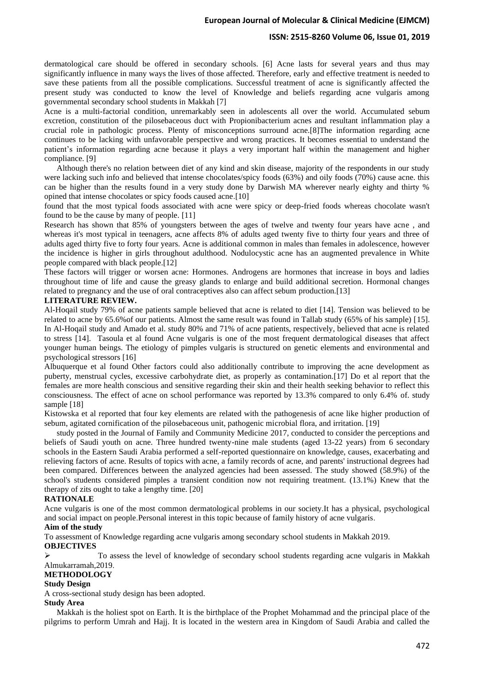### **ISSN: 2515-8260 Volume 06, Issue 01, 2019**

dermatological care should be offered in secondary schools. [6] Acne lasts for several years and thus may significantly influence in many ways the lives of those affected. Therefore, early and effective treatment is needed to save these patients from all the possible complications. Successful treatment of acne is significantly affected the present study was conducted to know the level of Knowledge and beliefs regarding acne vulgaris among governmental secondary school students in Makkah [7]

Acne is a multi-factorial condition, unremarkably seen in adolescents all over the world. Accumulated sebum excretion, constitution of the pilosebaceous duct with Propionibacterium acnes and resultant inflammation play a crucial role in pathologic process. Plenty of misconceptions surround acne.[8]The information regarding acne continues to be lacking with unfavorable perspective and wrong practices. It becomes essential to understand the patient's information regarding acne because it plays a very important half within the management and higher compliance. [9]

 Although there's no relation between diet of any kind and skin disease, majority of the respondents in our study were lacking such info and believed that intense chocolates/spicy foods (63%) and oily foods (70%) cause acne. this can be higher than the results found in a very study done by Darwish MA wherever nearly eighty and thirty % opined that intense chocolates or spicy foods caused acne.[10]

found that the most typical foods associated with acne were spicy or deep-fried foods whereas chocolate wasn't found to be the cause by many of people. [11]

Research has shown that 85% of youngsters between the ages of twelve and twenty four years have acne , and whereas it's most typical in teenagers, acne affects 8% of adults aged twenty five to thirty four years and three of adults aged thirty five to forty four years. Acne is additional common in males than females in adolescence, however the incidence is higher in girls throughout adulthood. Nodulocystic acne has an augmented prevalence in White people compared with black people.[12]

These factors will trigger or worsen acne: Hormones. Androgens are hormones that increase in boys and ladies throughout time of life and cause the greasy glands to enlarge and build additional secretion. Hormonal changes related to pregnancy and the use of oral contraceptives also can affect sebum production.[13]

### **LITERATURE REVIEW.**

Al-Hoqail study 79% of acne patients sample believed that acne is related to diet [14]. Tension was believed to be related to acne by 65.6%of our patients. Almost the same result was found in Tallab study (65% of his sample) [15]. In Al-Hoqail study and Amado et al. study 80% and 71% of acne patients, respectively, believed that acne is related to stress [14]. Tasoula et al found Acne vulgaris is one of the most frequent dermatological diseases that affect younger human beings. The etiology of pimples vulgaris is structured on genetic elements and environmental and psychological stressors [16]

Albuquerque et al found Other factors could also additionally contribute to improving the acne development as puberty, menstrual cycles, excessive carbohydrate diet, as properly as contamination.[17] Do et al report that the females are more health conscious and sensitive regarding their skin and their health seeking behavior to reflect this consciousness. The effect of acne on school performance was reported by 13.3% compared to only 6.4% of. study sample [18]

Kistowska et al reported that four key elements are related with the pathogenesis of acne like higher production of sebum, agitated cornification of the pilosebaceous unit, pathogenic microbial flora, and irritation. [19]

 study posted in the Journal of Family and Community Medicine 2017, conducted to consider the perceptions and beliefs of Saudi youth on acne. Three hundred twenty-nine male students (aged 13-22 years) from 6 secondary schools in the Eastern Saudi Arabia performed a self-reported questionnaire on knowledge, causes, exacerbating and relieving factors of acne. Results of topics with acne, a family records of acne, and parents' instructional degrees had been compared. Differences between the analyzed agencies had been assessed. The study showed (58.9%) of the school's students considered pimples a transient condition now not requiring treatment. (13.1%) Knew that the therapy of zits ought to take a lengthy time. [20]

#### **RATIONALE**

Acne vulgaris is one of the most common dermatological problems in our society .It has a physical, psychological and social impact on people.Personal interest in this topic because of family history of acne vulgaris .

### **Aim of the study**

To assessment of Knowledge regarding acne vulgaris among secondary school students in Makkah 2019.

# **OBJECTIVES**

 $\triangleright$  To assess the level of knowledge of secondary school students regarding acne vulgaris in Makkah Almukarramah, 2019.

#### **METHODOLOGY**

#### **Study Design**

A cross-sectional study design has been adopted.

#### **Study Area**

 Makkah is the holiest spot on Earth. It is the birthplace of the Prophet Mohammad and the principal place of the pilgrims to perform Umrah and Hajj. It is located in the western area in Kingdom of Saudi Arabia and called the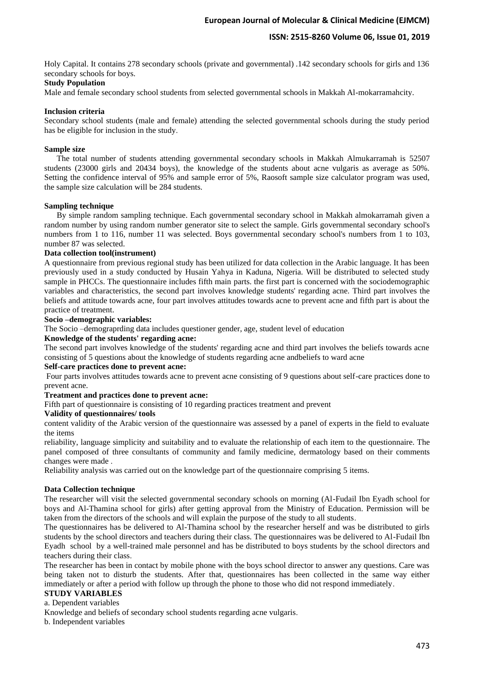Holy Capital. It contains 278 secondary schools (private and governmental) .142 secondary schools for girls and 136 secondary schools for boys.

### **Study Population**

Male and female secondary school students from selected governmental schools in Makkah Al-mokarramahcity.

### **Inclusion criteria**

Secondary school students (male and female) attending the selected governmental schools during the study period has be eligible for inclusion in the study.

### **Sample size**

 The total number of students attending governmental secondary schools in Makkah Almukarramah is 52507 students (23000 girls and 20434 boys), the knowledge of the students about acne vulgaris as average as 50%. Setting the confidence interval of 95% and sample error of 5%, Raosoft sample size calculator program was used, the sample size calculation will be 284 students.

### **Sampling technique**

 By simple random sampling technique. Each governmental secondary school in Makkah almokarramah given a random number by using random number generator site to select the sample. Girls governmental secondary school's numbers from 1 to 116, number 11 was selected. Boys governmental secondary school's numbers from 1 to 103, number 87 was selected.

### **Data collection tool(instrument)**

A questionnaire from previous regional study has been utilized for data collection in the Arabic language. It has been previously used in a study conducted by Husain Yahya in Kaduna, Nigeria. Will be distributed to selected study sample in PHCCs. The questionnaire includes fifth main parts. the first part is concerned with the sociodemographic variables and characteristics, the second part involves knowledge students' regarding acne. Third part involves the beliefs and attitude towards acne, four part involves attitudes towards acne to prevent acne and fifth part is about the practice of treatment.

# **Socio –demographic variables:**

The Socio –demograprding data includes questioner gender, age, student level of education

# **Knowledge of the students' regarding acne :**

The second part involves knowledge of the students' regarding acne and third part involves the beliefs towards acne consisting of 5 questions about the knowledge of students regarding acne andbeliefs to ward acne

### **Self-care practices done to prevent acne :**

Four parts involves attitudes towards acne to prevent acne consisting of 9 questions about self-care practices done to prevent acne.

## **Treatment and practices done to prevent acne:**

Fifth part of questionnaire is consisting of 10 regarding practices treatment and prevent

# **Validity of questionnaires/ tools**

content validity of the Arabic version of the questionnaire was assessed by a panel of experts in the field to evaluate the items

reliability, language simplicity and suitability and to evaluate the relationship of each item to the questionnaire. The panel composed of three consultants of community and family medicine, dermatology based on their comments changes were made .

Reliability analysis was carried out on the knowledge part of the questionnaire comprising 5 items.

#### **Data Collection technique**

The researcher will visit the selected governmental secondary schools on morning (Al-Fudail Ibn Eyadh school for boys and Al-Thamina school for girls) after getting approval from the Ministry of Education. Permission will be taken from the directors of the schools and will explain the purpose of the study to all students.

The questionnaires has be delivered to Al-Thamina school by the researcher herself and was be distributed to girls students by the school directors and teachers during their class. The questionnaires was be delivered to Al-Fudail Ibn Eyadh school by a well-trained male personnel and has be distributed to boys students by the school directors and teachers during their class.

The researcher has been in contact by mobile phone with the boys school director to answer any questions. Care was being taken not to disturb the students. After that, questionnaires has been collected in the same way either immediately or after a period with follow up through the phone to those who did not respond immediately .

# **STUDY VARIABLES**

# a. Dependent variables

Knowledge and beliefs of secondary school students regarding acne vulgaris .

b. Independent variables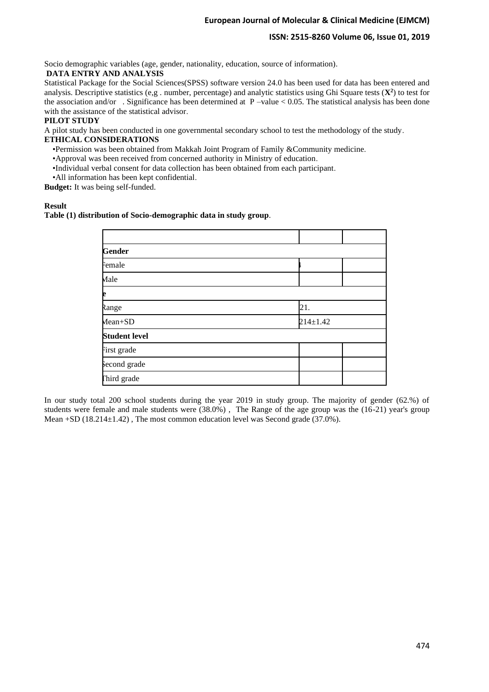# **ISSN: 2515-8260 Volume 06, Issue 01, 2019**

Socio demographic variables (age, gender, nationality, education, source of information).

### **DATA ENTRY AND ANALYSIS**

Statistical Package for the Social Sciences(SPSS) software version 24.0 has been used for data has been entered and analysis. Descriptive statistics (e,g. number, percentage) and analytic statistics using Ghi Square tests  $(X^2)$  to test for the association and/or . Significance has been determined at  $P$  –value < 0.05. The statistical analysis has been done with the assistance of the statistical advisor.

# **PILOT STUDY**

A pilot study has been conducted in one governmental secondary school to test the methodology of the study .

## **ETHICAL CONSIDERATIONS**

•Permission was been obtained from Makkah Joint Program of Family &Community medicine .

- •Approval was been received from concerned authority in Ministry of education .
- •Individual verbal consent for data collection has been obtained from each participant .
- •All information has been kept confidential.

**Budget:** It was being self-funded.

# **Result**

**Table (1) distribution of Socio-demographic data in study group**.

| Gender               |                |
|----------------------|----------------|
| Female               |                |
| Male                 |                |
| e                    |                |
| Range                | 21.            |
| $Mean+SD$            | $214 \pm 1.42$ |
| <b>Student level</b> |                |
| First grade          |                |
| Second grade         |                |
| Third grade          |                |

In our study total 200 school students during the year 2019 in study group. The majority of gender (62.%) of students were female and male students were (38.0%) , The Range of the age group was the (16-21) year's group Mean  $+SD$  (18.214 $\pm$ 1.42). The most common education level was Second grade (37.0%).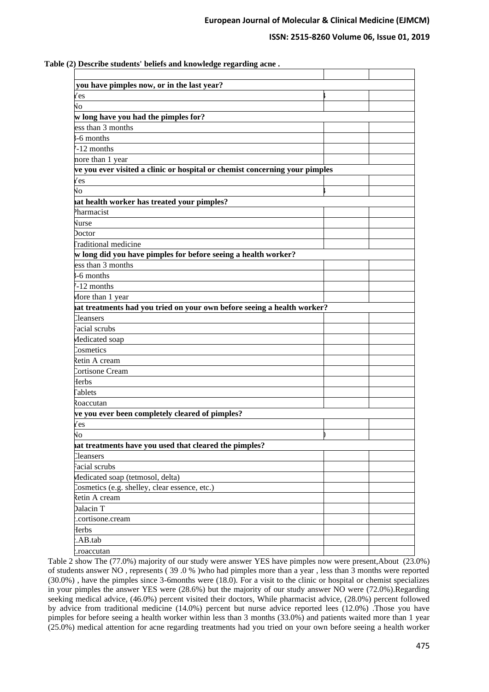# **ISSN: 2515-8260 Volume 06, Issue 01, 2019**

| Table (2) Describe students' beliefs and knowledge regarding acne. |  |  |
|--------------------------------------------------------------------|--|--|
|--------------------------------------------------------------------|--|--|

| you have pimples now, or in the last year?                                  |  |
|-----------------------------------------------------------------------------|--|
| Yes                                                                         |  |
| ÑО                                                                          |  |
| w long have you had the pimples for?                                        |  |
| ess than 3 months                                                           |  |
| $-6$ months                                                                 |  |
| $7-12$ months                                                               |  |
| nore than 1 year                                                            |  |
| ve you ever visited a clinic or hospital or chemist concerning your pimples |  |
| Yes                                                                         |  |
| Ńо                                                                          |  |
| at health worker has treated your pimples?                                  |  |
| Pharmacist                                                                  |  |
| Vurse                                                                       |  |
| <b>Doctor</b>                                                               |  |
| Traditional medicine                                                        |  |
| w long did you have pimples for before seeing a health worker?              |  |
| ess than 3 months                                                           |  |
| $-6$ months                                                                 |  |
| $7-12$ months                                                               |  |
| More than 1 year                                                            |  |
| at treatments had you tried on your own before seeing a health worker?      |  |
| Cleansers                                                                   |  |
| Facial scrubs                                                               |  |
| Medicated soap                                                              |  |
| Cosmetics                                                                   |  |
| Retin A cream                                                               |  |
| Cortisone Cream                                                             |  |
| Herbs                                                                       |  |
| <b>Tablets</b>                                                              |  |
| Roaccutan                                                                   |  |
| ve you ever been completely cleared of pimples?                             |  |
| Yes                                                                         |  |
| Ńо                                                                          |  |
| at treatments have you used that cleared the pimples?                       |  |
| Cleansers                                                                   |  |
| Facial scrubs                                                               |  |
| Medicated soap (tetmosol, delta)                                            |  |
| Cosmetics (e.g. shelley, clear essence, etc.)                               |  |
| Retin A cream                                                               |  |
| Dalacin T                                                                   |  |
| .cortisone.cream                                                            |  |
| Herbs                                                                       |  |
| :AB.tab                                                                     |  |
| .roaccutan                                                                  |  |
|                                                                             |  |

Table 2 show The (77.0%) majority of our study were answer YES have pimples now were present,About (23.0%) of students answer NO , represents ( 39 .0 % )who had pimples more than a year , less than 3 months were reported (30.0%) , have the pimples since 3-6months were (18.0). For a visit to the clinic or hospital or chemist specializes in your pimples the answer YES were (28.6%) but the majority of our study answer NO were (72.0%).Regarding seeking medical advice, (46.0%) percent visited their doctors, While pharmacist advice, (28.0%) percent followed by advice from traditional medicine (14.0%) percent but nurse advice reported lees (12.0%) .Those you have pimples for before seeing a health worker within less than 3 months (33.0%) and patients waited more than 1 year (25.0%) medical attention for acne regarding treatments had you tried on your own before seeing a health worker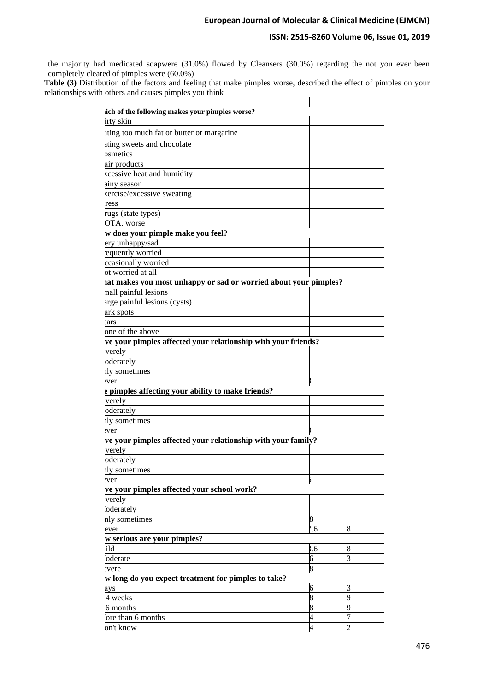# **ISSN: 2515-8260 Volume 06, Issue 01, 2019**

the majority had medicated soapwere (31.0%) flowed by Cleansers (30.0%) regarding the not you ever been completely cleared of pimples were (60.0%)

**Table (3)** Distribution of the factors and feeling that make pimples worse, described the effect of pimples on your relationships with others and causes pimples you think

| ich of the following makes your pimples worse?                  |     |   |
|-----------------------------------------------------------------|-----|---|
| irty skin                                                       |     |   |
| ating too much fat or butter or margarine                       |     |   |
| ating sweets and chocolate                                      |     |   |
| osmetics                                                        |     |   |
| air products                                                    |     |   |
| <b>cessive heat and humidity</b>                                |     |   |
| ainy season                                                     |     |   |
| sercise/excessive sweating                                      |     |   |
| ress                                                            |     |   |
| rugs (state types)                                              |     |   |
| OTA. worse                                                      |     |   |
| w does your pimple make you feel?                               |     |   |
| ery unhappy/sad                                                 |     |   |
| equently worried                                                |     |   |
| ccasionally worried                                             |     |   |
| ot worried at all                                               |     |   |
| at makes you most unhappy or sad or worried about your pimples? |     |   |
| nall painful lesions                                            |     |   |
| arge painful lesions (cysts)                                    |     |   |
| ark spots                                                       |     |   |
| cars                                                            |     |   |
| one of the above                                                |     |   |
| ve your pimples affected your relationship with your friends?   |     |   |
| verely                                                          |     |   |
| oderately                                                       |     |   |
| ly sometimes                                                    |     |   |
| ever                                                            |     |   |
| e pimples affecting your ability to make friends?               |     |   |
| verely                                                          |     |   |
| oderately                                                       |     |   |
| aly sometimes                                                   |     |   |
| ver                                                             |     |   |
| ve your pimples affected your relationship with your family?    |     |   |
| verely                                                          |     |   |
| oderately                                                       |     |   |
| lly sometimes                                                   |     |   |
| ver                                                             |     |   |
| ve your pimples affected your school work?                      |     |   |
| verely                                                          |     |   |
| oderately                                                       |     |   |
| nly sometimes                                                   | 8   |   |
| ever                                                            | 1.6 | 8 |
| w serious are your pimples?                                     |     |   |
| ild                                                             | 8.6 | 8 |
| oderate                                                         | 6   | 3 |
| evere                                                           | 8   |   |
| w long do you expect treatment for pimples to take?             |     |   |
| ays                                                             | 6   | 3 |
| 4 weeks                                                         | 8   | 9 |
| 6 months                                                        | 8   | 9 |
| ore than 6 months                                               | 4   |   |
| on't know                                                       | 4   |   |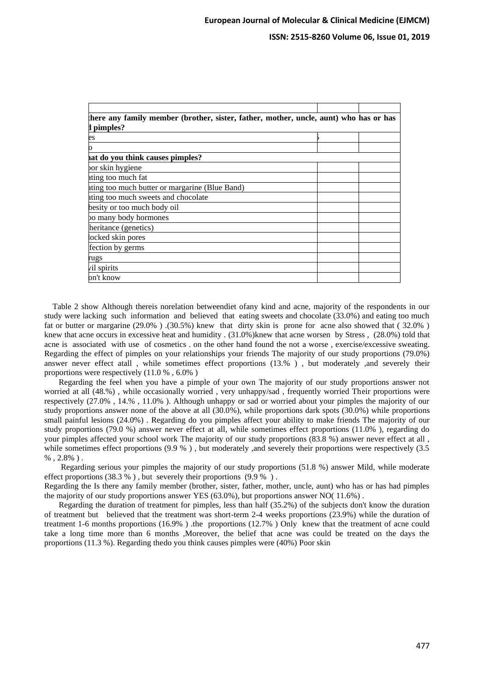| there any family member (brother, sister, father, mother, uncle, aunt) who has or has<br>pimples? |  |
|---------------------------------------------------------------------------------------------------|--|
| es                                                                                                |  |
|                                                                                                   |  |
| at do you think causes pimples?                                                                   |  |
| bor skin hygiene                                                                                  |  |
| ating too much fat                                                                                |  |
| ating too much butter or margarine (Blue Band)                                                    |  |
| ating too much sweets and chocolate                                                               |  |
| besity or too much body oil                                                                       |  |
| po many body hormones                                                                             |  |
| heritance (genetics)                                                                              |  |
| locked skin pores                                                                                 |  |
| fection by germs                                                                                  |  |
| rugs                                                                                              |  |
| vil spirits                                                                                       |  |
| on't know                                                                                         |  |
|                                                                                                   |  |

 Table 2 show Although thereis norelation betweendiet ofany kind and acne, majority of the respondents in our study were lacking such information and believed that eating sweets and chocolate (33.0%) and eating too much fat or butter or margarine (29.0% ) .(30.5%) knew that dirty skin is prone for acne also showed that ( 32.0% ) knew that acne occurs in excessive heat and humidity . (31.0%)knew that acne worsen by Stress , (28.0%) told that acne is associated with use of cosmetics . on the other hand found the not a worse , exercise/excessive sweating. Regarding the effect of pimples on your relationships your friends The majority of our study proportions (79.0%) answer never effect atall , while sometimes effect proportions (13.% ) , but moderately ,and severely their proportions were respectively (11.0 % , 6.0% )

 Regarding the feel when you have a pimple of your own The majority of our study proportions answer not worried at all (48.%), while occasionally worried, very unhappy/sad, frequently worried Their proportions were respectively (27.0% , 14.% , 11.0% ). Although unhappy or sad or worried about your pimples the majority of our study proportions answer none of the above at all (30.0%), while proportions dark spots (30.0%) while proportions small painful lesions (24.0%) . Regarding do you pimples affect your ability to make friends The majority of our study proportions (79.0 %) answer never effect at all, while sometimes effect proportions (11.0% ), regarding do your pimples affected your school work The majority of our study proportions (83.8 %) answer never effect at all , while sometimes effect proportions (9.9 %), but moderately ,and severely their proportions were respectively (3.5  $% 0.2.8\%$ ).

 Regarding serious your pimples the majority of our study proportions (51.8 %) answer Mild, while moderate effect proportions (38.3 % ) , but severely their proportions (9.9 % ) .

Regarding the Is there any family member (brother, sister, father, mother, uncle, aunt) who has or has had pimples the majority of our study proportions answer YES (63.0%), but proportions answer NO( 11.6%) .

 Regarding the duration of treatment for pimples, less than half (35.2%) of the subjects don't know the duration of treatment but believed that the treatment was short-term 2-4 weeks proportions (23.9%) while the duration of treatment 1-6 months proportions (16.9% ) .the proportions (12.7% ) Only knew that the treatment of acne could take a long time more than 6 months ,Moreover, the belief that acne was could be treated on the days the proportions (11.3 %). Regarding thedo you think causes pimples were (40%) Poor skin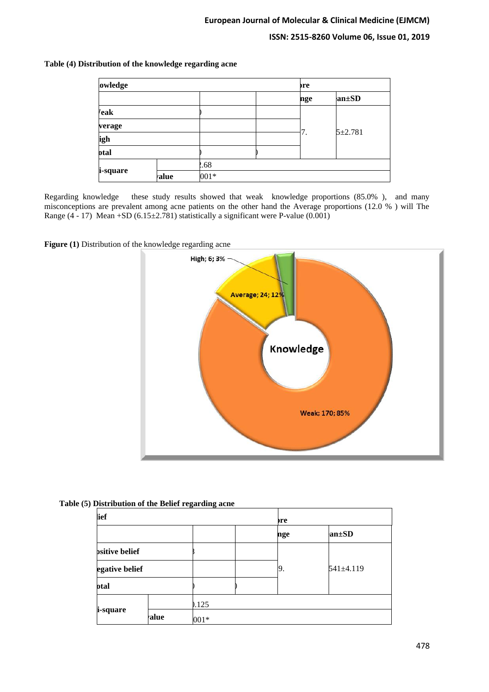### **Table (4) Distribution of the knowledge regarding acne**

| owledge        |       |      | <b>pre</b> |     |             |  |
|----------------|-------|------|------------|-----|-------------|--|
|                |       |      |            | nge | $an \pm SD$ |  |
| 'eak<br>verage |       |      |            |     | $5 + 2.781$ |  |
|                |       |      |            |     |             |  |
| igh            |       |      |            | 7.  |             |  |
| <b>btal</b>    |       |      |            |     |             |  |
|                |       | 2.68 |            |     |             |  |
| i-square       | ralue | 001* |            |     |             |  |

Regarding knowledge these study results showed that weak knowledge proportions (85.0%), and many misconceptions are prevalent among acne patients on the other hand the Average proportions (12.0 % ) will The Range  $(4 - 17)$  Mean +SD  $(6.15 \pm 2.781)$  statistically a significant were P-value  $(0.001)$ 

### **Figure (1)** Distribution of the knowledge regarding acne



### **Table (5) Distribution of the Belief regarding acne**

| ief                   |  |        | bre |             |  |  |
|-----------------------|--|--------|-----|-------------|--|--|
|                       |  |        | nge | $an \pm SD$ |  |  |
| <b>psitive belief</b> |  |        |     |             |  |  |
| egative belief        |  |        | 19. | 541±4.119   |  |  |
| btal                  |  |        |     |             |  |  |
|                       |  | 0.125  |     |             |  |  |
| i-square<br>alue      |  | $001*$ |     |             |  |  |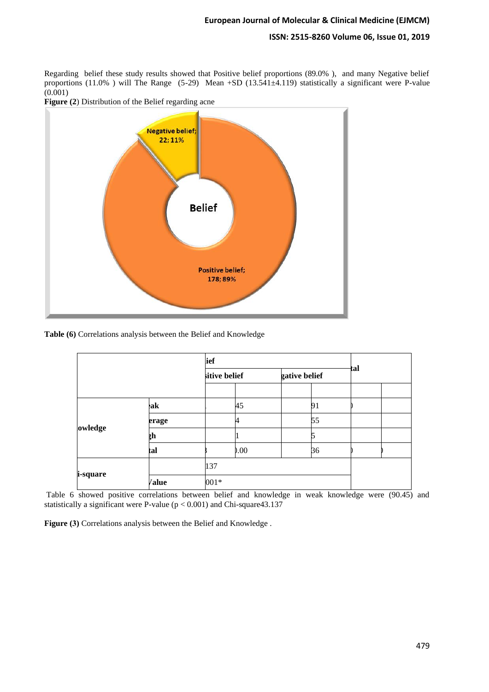# **ISSN: 2515-8260 Volume 06, Issue 01, 2019**

Regarding belief these study results showed that Positive belief proportions (89.0% ), and many Negative belief proportions (11.0% ) will The Range (5-29) Mean +SD (13.541±4.119) statistically a significant were P-value  $(0.\overline{0}01)$ 



**Figure (2**) Distribution of the Belief regarding acne

**Table (6)** Correlations analysis between the Belief and Knowledge

|                  |                     | lief          |      |               |    |     |  |  |
|------------------|---------------------|---------------|------|---------------|----|-----|--|--|
|                  |                     | sitive belief |      | gative belief |    | tal |  |  |
|                  |                     |               |      |               |    |     |  |  |
|                  | eak                 |               | 45   |               | 91 |     |  |  |
| owledge          | erage               |               | 4    |               | 55 |     |  |  |
|                  | ţһ                  |               |      |               |    |     |  |  |
|                  | tal                 |               | 0.00 |               | 36 |     |  |  |
|                  |                     | 137           |      |               |    |     |  |  |
| <i>i</i> -square | <b><i>Value</i></b> | 001*          |      |               |    |     |  |  |

Table 6 showed positive correlations between belief and knowledge in weak knowledge were (90.45) and statistically a significant were P-value ( $p < 0.001$ ) and Chi-square43.137

**Figure (3)** Correlations analysis between the Belief and Knowledge .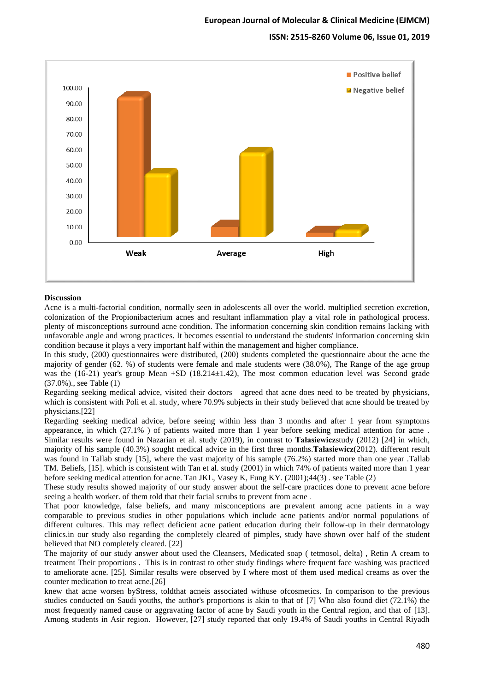

#### **Discussion**

Acne is a multi-factorial condition, normally seen in adolescents all over the world. multiplied secretion excretion, colonization of the Propionibacterium acnes and resultant inflammation play a vital role in pathological process. plenty of misconceptions surround acne condition. The information concerning skin condition remains lacking with unfavorable angle and wrong practices. It becomes essential to understand the students' information concerning skin condition because it plays a very important half within the management and higher compliance .

In this study, (200) questionnaires were distributed, (200) students completed the questionnaire about the acne the majority of gender (62. %) of students were female and male students were (38.0%), The Range of the age group was the (16-21) year's group Mean +SD (18.214±1.42), The most common education level was Second grade (37.0%)., see Table (1)

Regarding seeking medical advice, visited their doctors agreed that acne does need to be treated by physicians, which is consistent with Poli et al. study, where 70.9% subjects in their study believed that acne should be treated by physicians.[22]

Regarding seeking medical advice, before seeing within less than 3 months and after 1 year from symptoms appearance, in which (27.1% ) of patients waited more than 1 year before seeking medical attention for acne . Similar results were found in Nazarian et al. study (2019), in contrast to **Tałasiewicz**study (2012) [24] in which, majority of his sample (40.3%) sought medical advice in the first three months.**Tałasiewicz**(2012). different result was found in Tallab study [15], where the vast majority of his sample (76.2%) started more than one year .Tallab TM. Beliefs, [15]. which is consistent with Tan et al. study (2001) in which 74% of patients waited more than 1 year before seeking medical attention for acne. Tan JKL, Vasey K, Fung KY. (2001);44(3) . see Table (2)

These study results showed majority of our study answer about the self-care practices done to prevent acne before seeing a health worker. of them told that their facial scrubs to prevent from acne .

That poor knowledge, false beliefs, and many misconceptions are prevalent among acne patients in a way comparable to previous studies in other populations which include acne patients and/or normal populations of different cultures. This may reflect deficient acne patient education during their follow-up in their dermatology clinics.in our study also regarding the completely cleared of pimples, study have shown over half of the student believed that NO completely cleared. [22]

The majority of our study answer about used the Cleansers, Medicated soap ( tetmosol, delta) , Retin A cream to treatment Their proportions . This is in contrast to other study findings where frequent face washing was practiced to ameliorate acne. [25]. Similar results were observed by I where most of them used medical creams as over the counter medication to treat acne.[26]

knew that acne worsen byStress, toldthat acneis associated withuse ofcosmetics. In comparison to the previous studies conducted on Saudi youths, the author's proportions is akin to that of [7] Who also found diet (72.1%) the most frequently named cause or aggravating factor of acne by Saudi youth in the Central region, and that of [13]. Among students in Asir region. However, [27] study reported that only 19.4% of Saudi youths in Central Riyadh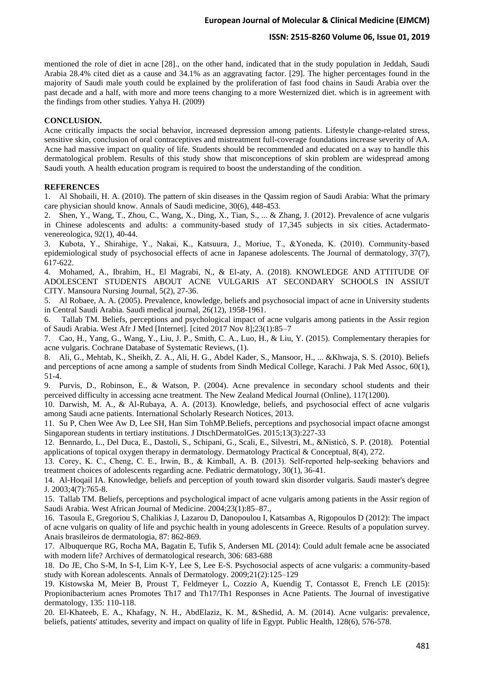#### **ISSN: 2515-8260 Volume 06, Issue 01, 2019**

mentioned the role of diet in acne [28]., on the other hand, indicated that in the study population in Jeddah, Saudi Arabia 28.4% cited diet as a cause and 34.1% as an aggravating factor. [29]. The higher percentages found in the majority of Saudi male youth could be explained by the proliferation of fast food chains in Saudi Arabia over the past decade and a half, with more and more teens changing to a more Westernized diet. which is in agreement with the findings from other studies. Yahya H. (2009)

#### **CONCLUSION.**

Acne critically impacts the social behavior, increased depression among patients. Lifestyle change-related stress, sensitive skin, conclusion of oral contraceptives and mistreatment full-coverage foundations increase severity of AA. Acne had massive impact on quality of life. Students should be recommended and educated on a way to handle this dermatological problem. Results of this study show that misconceptions of skin problem are widespread among Saudi youth. A health education program is required to boost the understanding of the condition.

#### **REFERENCES**

1. Al Shobaili, H. A. (2010). The pattern of skin diseases in the Qassim region of Saudi Arabia: What the primary care physician should know. Annals of Saudi medicine, 30(6), 448-453.

2. Shen, Y., Wang, T., Zhou, C., Wang, X., Ding, X., Tian, S., ... & Zhang, J. (2012). Prevalence of acne vulgaris in Chinese adolescents and adults: a community-based study of 17,345 subjects in six cities. Actadermatovenereologica, 92(1), 40-44.

3. Kubota, Y., Shirahige, Y., Nakai, K., Katsuura, J., Moriue, T., &Yoneda, K. (2010). Community‐based epidemiological study of psychosocial effects of acne in Japanese adolescents. The Journal of dermatology, 37(7), 617-622.

4. Mohamed, A., Ibrahim, H., El Magrabi, N., & El-aty, A. (2018). KNOWLEDGE AND ATTITUDE OF ADOLESCENT STUDENTS ABOUT ACNE VULGARIS AT SECONDARY SCHOOLS IN ASSIUT CITY. Mansoura Nursing Journal, 5(2), 27-36.

5. Al Robaee, A. A. (2005). Prevalence, knowledge, beliefs and psychosocial impact of acne in University students in Central Saudi Arabia. Saudi medical journal, 26(12), 1958-1961.

6. Tallab TM. Beliefs, perceptions and psychological impact of acne vulgaris among patients in the Assir region of Saudi Arabia. West Afr J Med [Internet]. [cited 2017 Nov 8];23(1):85–7

7. Cao, H., Yang, G., Wang, Y., Liu, J. P., Smith, C. A., Luo, H., & Liu, Y. (2015). Complementary therapies for acne vulgaris. Cochrane Database of Systematic Reviews, (1).

8. Ali, G., Mehtab, K., Sheikh, Z. A., Ali, H. G., Abdel Kader, S., Mansoor, H., ... &Khwaja, S. S. (2010). Beliefs and perceptions of acne among a sample of students from Sindh Medical College, Karachi. J Pak Med Assoc, 60(1), 51-4.

9. Purvis, D., Robinson, E., & Watson, P. (2004). Acne prevalence in secondary school students and their perceived difficulty in accessing acne treatment. The New Zealand Medical Journal (Online), 117(1200).

10. Darwish, M. A., & Al-Rubaya, A. A. (2013). Knowledge, beliefs, and psychosocial effect of acne vulgaris among Saudi acne patients. International Scholarly Research Notices, 2013.

11. Su P, Chen Wee Aw D, Lee SH, Han Sim TohMP.Beliefs, perceptions and psychosocial impact ofacne amongst Singaporean students in tertiary institutions. J DtschDermatolGes. 2015;13(3):227-33

12. Bennardo, L., Del Duca, E., Dastoli, S., Schipani, G., Scali, E., Silvestri, M., &Nisticò, S. P. (2018). Potential applications of topical oxygen therapy in dermatology. Dermatology Practical & Conceptual, 8(4), 272.

13. Corey, K. C., Cheng, C. E., Irwin, B., & Kimball, A. B. (2013). Self-reported help-seeking behaviors and treatment choices of adolescents regarding acne. Pediatric dermatology, 30(1), 36-41.

14. Al-Hoqail IA. Knowledge, beliefs and perception of youth toward skin disorder vulgaris. Saudi master's degree J. 2003;4(7):765-8.

15. Tallab TM. Beliefs, perceptions and psychological impact of acne vulgaris among patients in the Assir region of Saudi Arabia. West African Journal of Medicine. 2004;23(1):85–87.,

16. Tasoula E, Gregoriou S, Chalikias J, Lazarou D, Danopoulou I, Katsambas A, Rigopoulos D (2012): The impact of acne vulgaris on quality of life and psychic health in young adolescents in Greece. Results of a population survey. Anais brasileiros de dermatologia, 87: 862-869.

17. Albuquerque RG, Rocha MA, Bagatin E, Tufik S, Andersen ML (2014): Could adult female acne be associated with modern life? Archives of dermatological research, 306: 683-688

18. Do JE, Cho S-M, In S-I, Lim K-Y, Lee S, Lee E-S. Psychosocial aspects of acne vulgaris: a community-based study with Korean adolescents. Annals of Dermatology. 2009;21(2):125–129

19. Kistowska M, Meier B, Proust T, Feldmeyer L, Cozzio A, Kuendig T, Contassot E, French LE (2015): Propionibacterium acnes Promotes Th17 and Th17/Th1 Responses in Acne Patients. The Journal of investigative dermatology, 135: 110-118.

20. El-Khateeb, E. A., Khafagy, N. H., AbdElaziz, K. M., &Shedid, A. M. (2014). Acne vulgaris: prevalence, beliefs, patients' attitudes, severity and impact on quality of life in Egypt. Public Health, 128(6), 576-578.